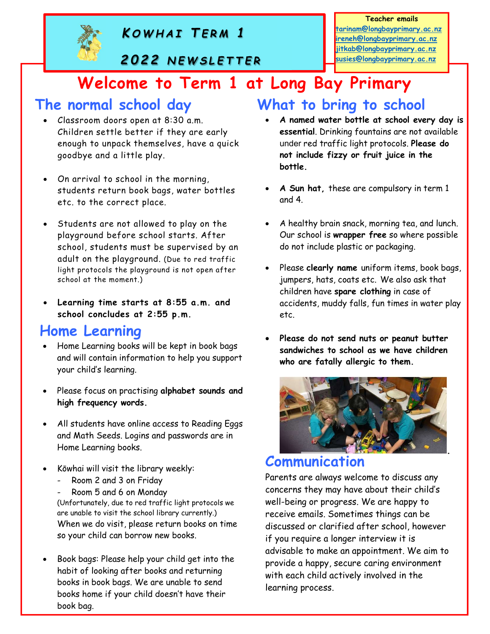

#### Teacher emails

tarinam@longbayprimary.ac.nz ireneh@longbayprimary.ac.nz jitkab@longbayprimary.ac.nz susies@longbayprimary.ac.nz

# Welcome to Term 1 at Long Bay Primary Eacher emails<br>
KOWHAI TERM 1<br>
2022 NEWSLETTER<br>
SUSES Clongbayprimary.ac.nz<br>
SUSES Clongbayprimary.ac.nz<br>
SUSES Clongbayprimary.ac.nz<br>
SUSES Clongbayprimary.ac.nz<br>
DIRE TO TERM 1 at Long Bay Primary Eacher emails<br>
Eacher emails<br>
EXAMPLE TERM 1<br>
2022 NEWSLETTER<br>
COME TO Term 1 at Long Bay Primary.ac.nz<br>
Suisselongbayprimary.ac.nz<br>
Suisselongbayprimary.ac.nz<br>
Suisselongbayprimary.ac.nz<br>
Long Bay Primary<br>
In school day<br>

#### The normal school day

- Classroom doors open at 8:30 a.m. Children settle better if they are early enough to unpack themselves, have a quick goodbye and a little play.
- On arrival to school in the morning, students return book bags, water bottles etc. to the correct place.
- Students are not allowed to play on the playground before school starts. After school, students must be supervised by an adult on the playground. (Due to red traffic light protocols the playground is not open after school at the moment.)
- Learning time starts at 8:55 a.m. and school concludes at 2:55 p.m.

# Home Learning

- Home Learning books will be kept in book bags and will contain information to help you support your child's learning.
- Please focus on practising alphabet sounds and high frequency words.
- All students have online access to Reading Eggs and Math Seeds. Logins and passwords are in Home Learning books.
- Kōwhai will visit the library weekly:
	- Room 2 and 3 on Friday
	- Room 5 and 6 on Monday

(Unfortunately, due to red traffic light protocols we are unable to visit the school library currently.) When we do visit, please return books on time so your child can borrow new books.

 Book bags: Please help your child get into the habit of looking after books and returning books in book bags. We are unable to send books home if your child doesn't have their book bag.

# What to bring to school

- A named water bottle at school every day is essential. Drinking fountains are not available under red traffic light protocols. Please do not include fizzy or fruit juice in the bottle.
- A Sun hat, these are compulsory in term 1 and 4.
- A healthy brain snack, morning tea, and lunch. Our school is wrapper free so where possible do not include plastic or packaging.
- Please clearly name uniform items, book bags, jumpers, hats, coats etc. We also ask that children have spare clothing in case of accidents, muddy falls, fun times in water play etc.
- Please do not send nuts or peanut butter sandwiches to school as we have children who are fatally allergic to them.



#### Communication

Parents are always welcome to discuss any concerns they may have about their child's well-being or progress. We are happy to receive emails. Sometimes things can be discussed or clarified after school, however if you require a longer interview it is advisable to make an appointment. We aim to provide a happy, secure caring environment with each child actively involved in the learning process.